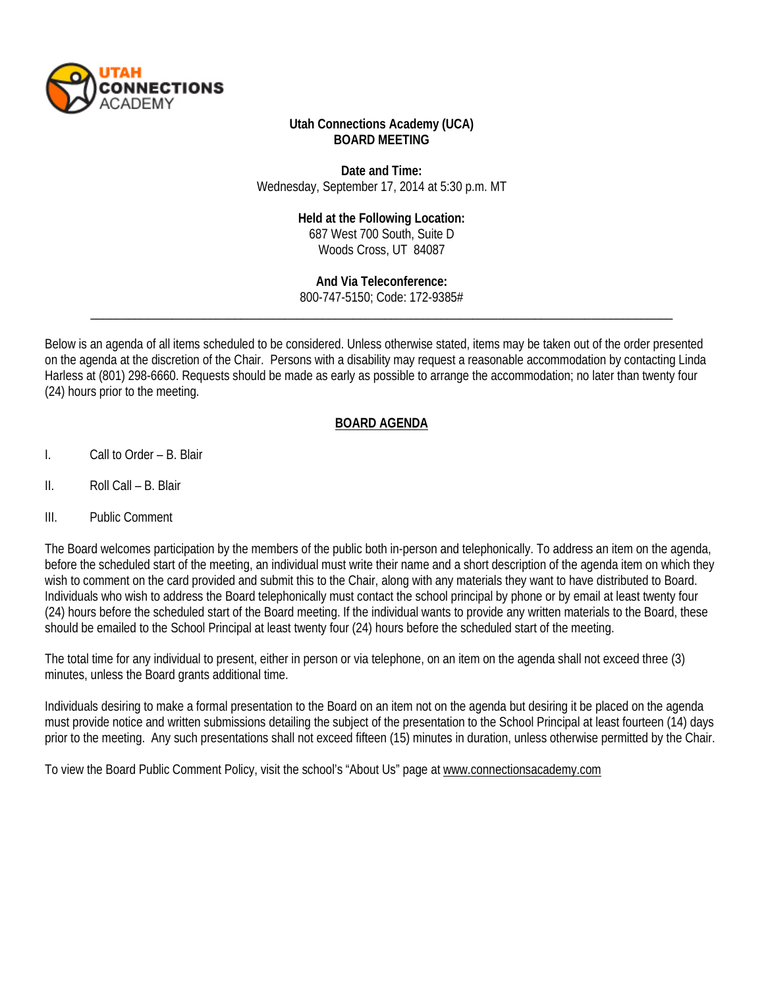

### **Utah Connections Academy (UCA) BOARD MEETING**

**Date and Time:** Wednesday, September 17, 2014 at 5:30 p.m. MT

#### **Held at the Following Location:**

687 West 700 South, Suite D Woods Cross, UT 84087

**And Via Teleconference:** 800-747-5150; Code: 172-9385#

\_\_\_\_\_\_\_\_\_\_\_\_\_\_\_\_\_\_\_\_\_\_\_\_\_\_\_\_\_\_\_\_\_\_\_\_\_\_\_\_\_\_\_\_\_\_\_\_\_\_\_\_\_\_\_\_\_\_\_\_\_\_\_\_\_\_\_\_\_\_\_\_\_\_\_\_\_\_\_\_\_\_\_\_\_\_\_\_\_\_\_\_\_

Below is an agenda of all items scheduled to be considered. Unless otherwise stated, items may be taken out of the order presented on the agenda at the discretion of the Chair. Persons with a disability may request a reasonable accommodation by contacting Linda Harless at (801) 298-6660. Requests should be made as early as possible to arrange the accommodation; no later than twenty four (24) hours prior to the meeting.

### **BOARD AGENDA**

- I. Call to Order B. Blair
- II. Roll Call B. Blair
- III. Public Comment

The Board welcomes participation by the members of the public both in-person and telephonically. To address an item on the agenda, before the scheduled start of the meeting, an individual must write their name and a short description of the agenda item on which they wish to comment on the card provided and submit this to the Chair, along with any materials they want to have distributed to Board. Individuals who wish to address the Board telephonically must contact the school principal by phone or by email at least twenty four (24) hours before the scheduled start of the Board meeting. If the individual wants to provide any written materials to the Board, these should be emailed to the School Principal at least twenty four (24) hours before the scheduled start of the meeting.

The total time for any individual to present, either in person or via telephone, on an item on the agenda shall not exceed three (3) minutes, unless the Board grants additional time.

Individuals desiring to make a formal presentation to the Board on an item not on the agenda but desiring it be placed on the agenda must provide notice and written submissions detailing the subject of the presentation to the School Principal at least fourteen (14) days prior to the meeting. Any such presentations shall not exceed fifteen (15) minutes in duration, unless otherwise permitted by the Chair.

To view the Board Public Comment Policy, visit the school's "About Us" page a[t www.connectionsacademy.com](http://www.connectionsacademy.com/)